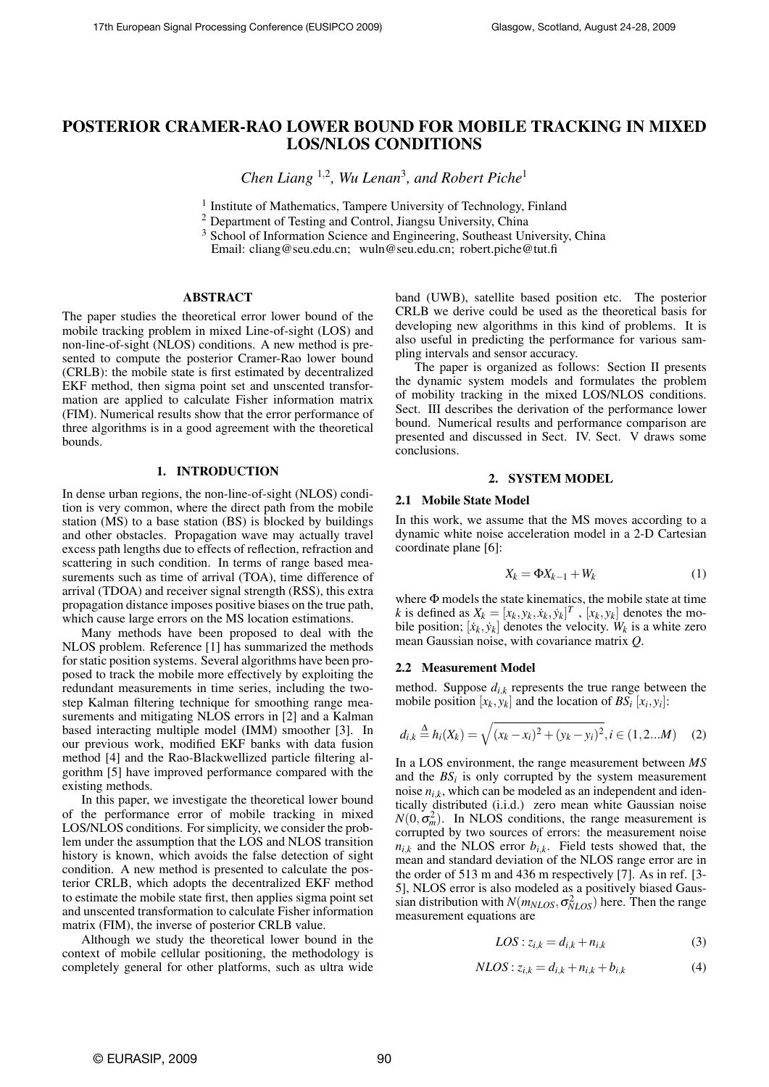# POSTERIOR CRAMER-RAO LOWER BOUND FOR MOBILE TRACKING IN MIXED LOS/NLOS CONDITIONS

*Chen Liang* <sup>1</sup>,<sup>2</sup> *, Wu Lenan*<sup>3</sup> *, and Robert Piche*<sup>1</sup>

<sup>1</sup> Institute of Mathematics, Tampere University of Technology, Finland

<sup>2</sup> Department of Testing and Control, Jiangsu University, China

<sup>3</sup> School of Information Science and Engineering, Southeast University, China Email: cliang@seu.edu.cn; wuln@seu.edu.cn; robert.piche@tut.fi

## ABSTRACT

The paper studies the theoretical error lower bound of the mobile tracking problem in mixed Line-of-sight (LOS) and non-line-of-sight (NLOS) conditions. A new method is presented to compute the posterior Cramer-Rao lower bound (CRLB): the mobile state is first estimated by decentralized EKF method, then sigma point set and unscented transformation are applied to calculate Fisher information matrix (FIM). Numerical results show that the error performance of three algorithms is in a good agreement with the theoretical bounds.

## 1. INTRODUCTION

In dense urban regions, the non-line-of-sight (NLOS) condition is very common, where the direct path from the mobile station (MS) to a base station (BS) is blocked by buildings and other obstacles. Propagation wave may actually travel excess path lengths due to effects of reflection, refraction and scattering in such condition. In terms of range based measurements such as time of arrival (TOA), time difference of arrival (TDOA) and receiver signal strength (RSS), this extra propagation distance imposes positive biases on the true path, which cause large errors on the MS location estimations.

Many methods have been proposed to deal with the NLOS problem. Reference [1] has summarized the methods for static position systems. Several algorithms have been proposed to track the mobile more effectively by exploiting the redundant measurements in time series, including the twostep Kalman filtering technique for smoothing range measurements and mitigating NLOS errors in [2] and a Kalman based interacting multiple model (IMM) smoother [3]. In our previous work, modified EKF banks with data fusion method [4] and the Rao-Blackwellized particle filtering algorithm [5] have improved performance compared with the existing methods.

In this paper, we investigate the theoretical lower bound of the performance error of mobile tracking in mixed LOS/NLOS conditions. For simplicity, we consider the problem under the assumption that the LOS and NLOS transition history is known, which avoids the false detection of sight condition. A new method is presented to calculate the posterior CRLB, which adopts the decentralized EKF method to estimate the mobile state first, then applies sigma point set and unscented transformation to calculate Fisher information matrix (FIM), the inverse of posterior CRLB value.

Although we study the theoretical lower bound in the context of mobile cellular positioning, the methodology is completely general for other platforms, such as ultra wide band (UWB), satellite based position etc. The posterior CRLB we derive could be used as the theoretical basis for developing new algorithms in this kind of problems. It is also useful in predicting the performance for various sampling intervals and sensor accuracy.

The paper is organized as follows: Section II presents the dynamic system models and formulates the problem of mobility tracking in the mixed LOS/NLOS conditions. Sect. III describes the derivation of the performance lower bound. Numerical results and performance comparison are presented and discussed in Sect. IV. Sect. V draws some conclusions.

#### 2. SYSTEM MODEL

#### 2.1 Mobile State Model

In this work, we assume that the MS moves according to a dynamic white noise acceleration model in a 2-D Cartesian coordinate plane [6]:

$$
X_k = \Phi X_{k-1} + W_k \tag{1}
$$

where Φ models the state kinematics, the mobile state at time *k* is defined as  $X_k = [x_k, y_k, \dot{x}_k, \dot{y}_k]^T$ ,  $[x_k, y_k]$  denotes the mobile position;  $[\dot{x}_k, \dot{y}_k]$  denotes the velocity.  $W_k$  is a white zero mean Gaussian noise, with covariance matrix *Q*.

#### 2.2 Measurement Model

method. Suppose  $d_{i,k}$  represents the true range between the mobile position  $[x_k, y_k]$  and the location of  $BS_i[x_i, y_i]$ :

$$
d_{i,k} \stackrel{\Delta}{=} h_i(X_k) = \sqrt{(x_k - x_i)^2 + (y_k - y_i)^2}, i \in (1, 2...M) \quad (2)
$$

In a LOS environment, the range measurement between *MS* and the  $BS_i$  is only corrupted by the system measurement noise  $n_{i,k}$ , which can be modeled as an independent and identically distributed (i.i.d.) zero mean white Gaussian noise  $N(0, \sigma_m^2)$ . In NLOS conditions, the range measurement is corrupted by two sources of errors: the measurement noise  $n_{i,k}$  and the NLOS error  $b_{i,k}$ . Field tests showed that, the mean and standard deviation of the NLOS range error are in the order of 513 m and 436 m respectively [7]. As in ref. [3- 5], NLOS error is also modeled as a positively biased Gaussian distribution with  $N(m_{NLOS}, \sigma_{NLOS}^2)$  here. Then the range measurement equations are

$$
LOS: z_{i,k} = d_{i,k} + n_{i,k} \tag{3}
$$

$$
NLOS: z_{i,k} = d_{i,k} + n_{i,k} + b_{i,k}
$$
 (4)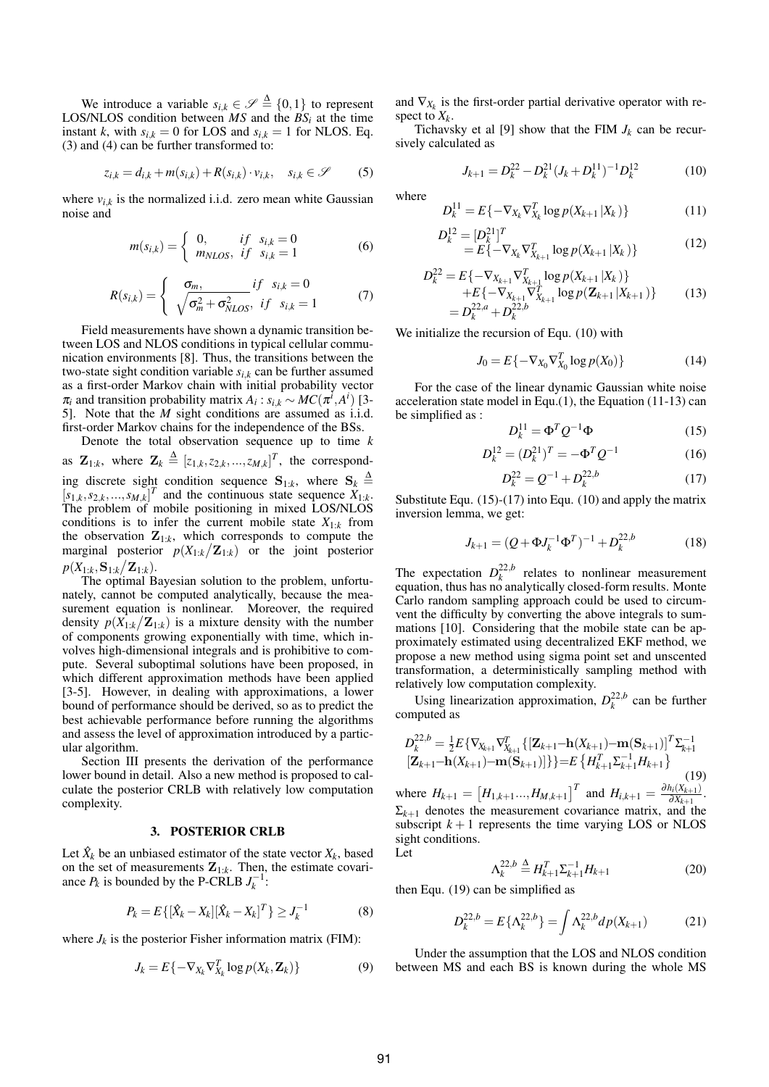We introduce a variable  $s_{i,k} \in \mathscr{S} \triangleq \{0,1\}$  to represent LOS/NLOS condition between  $MS$  and the  $BS_i$  at the time instant *k*, with  $s_{i,k} = 0$  for LOS and  $s_{i,k} = 1$  for NLOS. Eq. (3) and (4) can be further transformed to:

$$
z_{i,k} = d_{i,k} + m(s_{i,k}) + R(s_{i,k}) \cdot v_{i,k}, \quad s_{i,k} \in \mathcal{S}
$$
 (5)

where  $v_{i,k}$  is the normalized i.i.d. zero mean white Gaussian noise and

$$
m(s_{i,k}) = \begin{cases} 0, & if \ s_{i,k} = 0 \\ m_{NLOS}, & if \ s_{i,k} = 1 \end{cases}
$$
 (6)

$$
R(s_{i,k}) = \begin{cases} \n\sigma_m, & \text{if } s_{i,k} = 0 \\
\sqrt{\sigma_m^2 + \sigma_{NLOS}^2}, & \text{if } s_{i,k} = 1\n\end{cases} \tag{7}
$$

Field measurements have shown a dynamic transition between LOS and NLOS conditions in typical cellular communication environments [8]. Thus, the transitions between the two-state sight condition variable  $s_{i,k}$  can be further assumed as a first-order Markov chain with initial probability vector  $\pi_i$  and transition probability matrix  $A_i$ :  $s_{i,k} \sim MC(\pi^i, A^i)$  [3-5]. Note that the *M* sight conditions are assumed as i.i.d. first-order Markov chains for the independence of the BSs.

Denote the total observation sequence up to time *k* as  $\mathbf{Z}_{1:k}$ , where  $\mathbf{Z}_k \triangleq [z_{1,k}, z_{2,k}, ..., z_{M,k}]^T$ , the corresponding discrete sight condition sequence  $S_{1:k}$ , where  $S_k \triangleq$  $[s_{1,k}, s_{2,k},...,s_{M,k}]^T$  and the continuous state sequence  $\ddot{X}_{1:k}$ . The problem of mobile positioning in mixed LOS/NLOS conditions is to infer the current mobile state  $X_{1:k}$  from the observation  $\mathbf{Z}_{1:k}$ , which corresponds to compute the marginal posterior  $p(X_{1:k} / \mathbf{Z}_{1:k})$  or the joint posterior  $p(X_{1:k},\mathbf{S}_{1:k}/\mathbf{Z}_{1:k}).$ 

The optimal Bayesian solution to the problem, unfortunately, cannot be computed analytically, because the measurement equation is nonlinear. Moreover, the required density  $p(X_{1:k}/\mathbf{Z}_{1:k})$  is a mixture density with the number of components growing exponentially with time, which involves high-dimensional integrals and is prohibitive to compute. Several suboptimal solutions have been proposed, in which different approximation methods have been applied [3-5]. However, in dealing with approximations, a lower bound of performance should be derived, so as to predict the best achievable performance before running the algorithms and assess the level of approximation introduced by a particular algorithm.

Section III presents the derivation of the performance lower bound in detail. Also a new method is proposed to calculate the posterior CRLB with relatively low computation complexity.

#### 3. POSTERIOR CRLB

Let  $\hat{X}_k$  be an unbiased estimator of the state vector  $X_k$ , based on the set of measurements  $\mathbf{Z}_{1:k}$ . Then, the estimate covariance  $P_k$  is bounded by the P-CRLB  $J_k^{-1}$ :

$$
P_k = E\{[\hat{X}_k - X_k][\hat{X}_k - X_k]^T\} \ge J_k^{-1}
$$
 (8)

where  $J_k$  is the posterior Fisher information matrix (FIM):

$$
J_k = E\{-\nabla_{X_k}\nabla_{X_k}^T \log p(X_k, \mathbf{Z}_k)\}\tag{9}
$$

and  $\nabla_{X_k}$  is the first-order partial derivative operator with respect to  $X_k$ .

Tichavsky et al [9] show that the FIM  $J_k$  can be recursively calculated as

$$
J_{k+1} = D_k^{22} - D_k^{21} (J_k + D_k^{11})^{-1} D_k^{12}
$$
 (10)

where

$$
D_k^{11} = E\{-\nabla_{X_k} \nabla_{X_k}^T \log p(X_{k+1} | X_k)\}\
$$
 (11)

$$
D_k^{12} = [D_k^{21}]^T
$$
  
=  $E\{-\nabla_{X_k}\nabla_{X_{k+1}}^T \log p(X_{k+1} | X_k)\}\$  (12)

$$
D_k^{22} = E\{-\nabla_{X_{k+1}} \nabla_{X_{k+1}}^T \log p(X_{k+1} | X_k)\}\n+ E\{-\nabla_{X_{k+1}} \nabla_{X_{k+1}}^T \log p(\mathbf{Z}_{k+1} | X_{k+1})\}\n= D_k^{22,a} + D_k^{22,b}
$$
\n(13)

We initialize the recursion of Equ. (10) with

$$
J_0 = E\{-\nabla_{X_0}\nabla_{X_0}^T \log p(X_0)\}\tag{14}
$$

For the case of the linear dynamic Gaussian white noise acceleration state model in Equ.(1), the Equation (11-13) can be simplified as :

$$
D_k^{11} = \Phi^T Q^{-1} \Phi \tag{15}
$$

$$
D_k^{12} = (D_k^{21})^T = -\Phi^T Q^{-1}
$$
 (16)

$$
D_k^{22} = Q^{-1} + D_k^{22,b} \tag{17}
$$

Substitute Equ. (15)-(17) into Equ. (10) and apply the matrix inversion lemma, we get:

$$
J_{k+1} = (Q + \Phi J_k^{-1} \Phi^T)^{-1} + D_k^{22,b} \tag{18}
$$

The expectation  $D_k^{2,1,b}$  $\frac{f^{22,0}}{k}$  relates to nonlinear measurement equation, thus has no analytically closed-form results. Monte Carlo random sampling approach could be used to circumvent the difficulty by converting the above integrals to summations [10]. Considering that the mobile state can be approximately estimated using decentralized EKF method, we propose a new method using sigma point set and unscented transformation, a deterministically sampling method with relatively low computation complexity.

Using linearization approximation,  $D_k^{22,b}$  $\int_{k}^{22, b}$  can be further computed as

$$
D_{k}^{22,b} = \frac{1}{2}E\{\nabla_{X_{k+1}}\nabla_{X_{k+1}}^{T}\{[\mathbf{Z}_{k+1}-\mathbf{h}(X_{k+1})-\mathbf{m}(\mathbf{S}_{k+1})]^T\Sigma_{k+1}^{-1}\}\n[\mathbf{Z}_{k+1}-\mathbf{h}(X_{k+1})-\mathbf{m}(\mathbf{S}_{k+1})]\}\} = E\{H_{k+1}^T\Sigma_{k+1}^{-1}H_{k+1}\}\n\tag{19}
$$

where  $H_{k+1} =$  $H_{1,k+1}...$ , $H_{M,k+1}$ <sup>T</sup> and  $H_{i,k+1} = \frac{\partial h_i(X_{k+1})}{\partial X_{i+1}}$  $\frac{n_i(X_{k+1})}{\partial X_{k+1}}$ .  $\Sigma_{k+1}$  denotes the measurement covariance matrix, and the subscript  $k + 1$  represents the time varying LOS or NLOS sight conditions. Let

$$
\Lambda_k^{22,b} \stackrel{\Delta}{=} H_{k+1}^T \Sigma_{k+1}^{-1} H_{k+1}
$$
 (20)

then Equ. (19) can be simplified as

$$
D_k^{22,b} = E\{\Lambda_k^{22,b}\} = \int \Lambda_k^{22,b} dp(X_{k+1})
$$
 (21)

Under the assumption that the LOS and NLOS condition between MS and each BS is known during the whole MS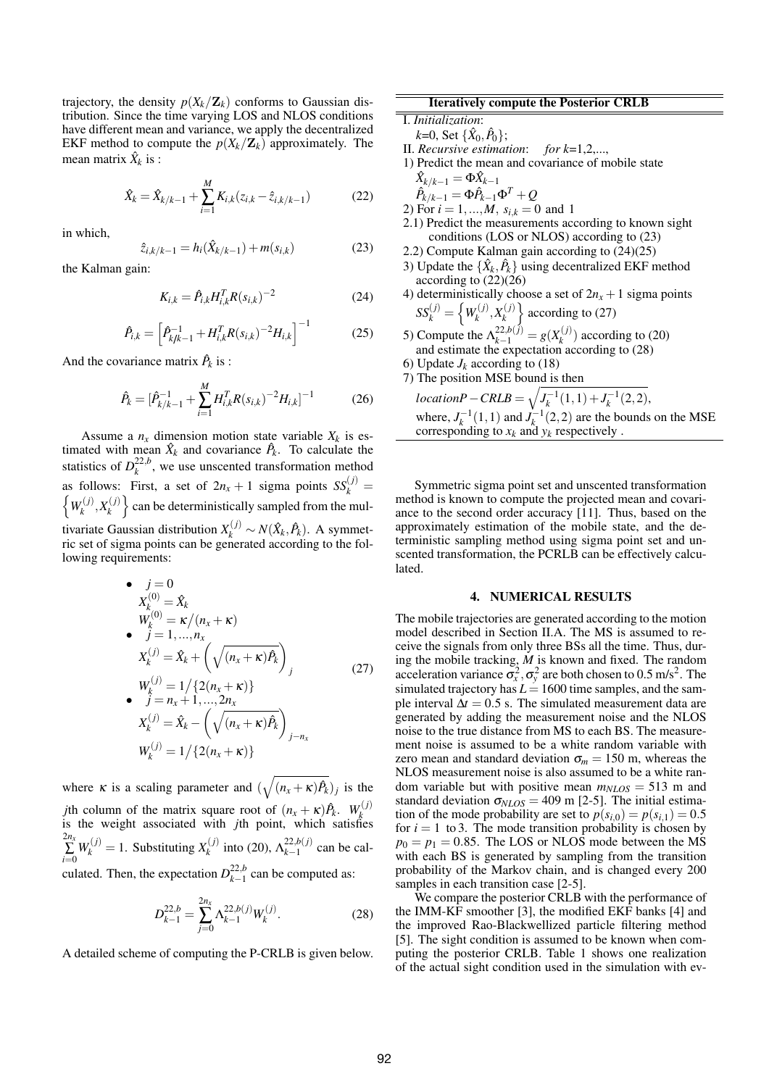trajectory, the density  $p(X_k/\mathbf{Z}_k)$  conforms to Gaussian distribution. Since the time varying LOS and NLOS conditions have different mean and variance, we apply the decentralized EKF method to compute the  $p(X_k/\mathbb{Z}_k)$  approximately. The mean matrix  $\hat{X}_k$  is :

$$
\hat{X}_k = \hat{X}_{k/k-1} + \sum_{i=1}^{M} K_{i,k}(z_{i,k} - \hat{z}_{i,k/k-1})
$$
 (22)

in which,

$$
\hat{z}_{i,k/k-1} = h_i(\hat{X}_{k/k-1}) + m(s_{i,k})
$$
\n(23)

the Kalman gain:

$$
K_{i,k} = \hat{P}_{i,k} H_{i,k}^T R(s_{i,k})^{-2}
$$
 (24)

$$
\hat{P}_{i,k} = \left[\hat{P}_{k/k-1}^{-1} + H_{i,k}^T R(s_{i,k})^{-2} H_{i,k}\right]^{-1} \tag{25}
$$

And the covariance matrix  $\hat{P}_k$  is :

$$
\hat{P}_k = [\hat{P}_{k/k-1}^{-1} + \sum_{i=1}^{M} H_{i,k}^T R(s_{i,k})^{-2} H_{i,k}]^{-1}
$$
(26)

Assume a  $n_x$  dimension motion state variable  $X_k$  is estimated with mean  $\hat{X}_k$  and covariance  $\hat{P}_k$ . To calculate the statistics of  $D_k^{2,2,b}$  $\frac{22}{k}$ , we use unscented transformation method as follows: First, a set of  $2n_x + 1$  sigma points  $SS_k^{(j)} =$  $W_k^{(j)}$  $\chi_k^{(j)}, X_k^{(j)}$  $\left\{\begin{matrix}x\\k\end{matrix}\right\}$  can be deterministically sampled from the multivariate Gaussian distribution  $X_k^{(j)} \sim N(\hat{X}_k, \hat{P}_k)$ . A symmetric set of sigma points can be generated according to the following requirements:

• 
$$
j = 0
$$
  
\n
$$
X_{k}^{(0)} = \hat{X}_{k}
$$
\n
$$
W_{k}^{(0)} = \kappa/(n_{x} + \kappa)
$$
\n•  $j = 1, ..., n_{x}$   
\n
$$
X_{k}^{(j)} = \hat{X}_{k} + \left(\sqrt{(n_{x} + \kappa)\hat{P}_{k}}\right)_{j}
$$
\n
$$
W_{k}^{(j)} = 1/\{2(n_{x} + \kappa)\}
$$
\n•  $j = n_{x} + 1, ..., 2n_{x}$ 

$$
X_k^{(j)} = \hat{X}_k - \left(\sqrt{(n_x + \kappa)\hat{P}_k}\right)_{j-n_x}
$$
  

$$
W_k^{(j)} = 1/\{2(n_x + \kappa)\}\
$$

where  $\kappa$  is a scaling parameter and (  $(n_x + \kappa)\hat{P}_k$ )<sub>*j*</sub> is the *j*th column of the matrix square root of  $(n_x + \kappa)\hat{P}_k$ .  $W_k^{(j)}$ *k* is the weight associated with *j*th point, which satisfies  $\sum_{i=0}^{2n_x} W_k^{(j)} = 1$ . Substituting  $X_k^{(j)}$  $\lambda_k^{(j)}$  into (20),  $\Lambda_{k-1}^{22,b(j)}$  $\frac{22}{k-1}$  can be calculated. Then, the expectation  $D_{k-1}^{22,b}$  $\frac{22}{k-1}$  can be computed as:

$$
D_{k-1}^{22,b} = \sum_{j=0}^{2n_x} \Lambda_{k-1}^{22,b(j)} W_k^{(j)}.
$$
 (28)

A detailed scheme of computing the P-CRLB is given below.

# Iteratively compute the Posterior CRLB

# I. *Initialization*:

 $k$ =0, Set { $\hat{X}_0, \hat{P}_0$ };

- II. *Recursive estimation*: *for k*=1,2,...,
- 1) Predict the mean and covariance of mobile state  $\hat{X}_{k/k-1} = \Phi \hat{X}_{k-1}$

$$
\hat{P}_{k/k-1} = \Phi \hat{P}_{k-1} \Phi^T + Q
$$

- 2) For  $i = 1, ..., M$ ,  $s_{i,k} = 0$  and 1
- 2.1) Predict the measurements according to known sight conditions (LOS or NLOS) according to (23)
- 2.2) Compute Kalman gain according to (24)(25)
- 3) Update the  $\{\hat{X}_k, \hat{P}_k\}$  using decentralized EKF method according to  $(22)(26)$
- 4) deterministically choose a set of  $2n_x + 1$  sigma points  $SS_k^{(j)} = \left\{W_k^{(j)}\right\}$  $X_k^{(j)}, X_k^{(j)}$  $\left\{\begin{array}{l}\text{x}(t) \\ \text{y}(t)\end{array}\right\}$  according to (27)
- 5) Compute the  $\Lambda_{k-1}^{22, b(j)} = g(X_k^{(j)})$  $f_k^{(J)}$  according to (20) and estimate the expectation according to (28)
- 6) Update  $J_k$  according to (18)
- 7) The position MSE bound is then  $\mathbf{u}$

*locationP*−*CRLB* =  $J_k^{-1}(1,1) + J_k^{-1}(2,2),$ where,  $J_k^{-1}(1,1)$  and  $J_k^{-1}(2,2)$  are the bounds on the MSE corresponding to  $x_k$  and  $y_k$  respectively.

Symmetric sigma point set and unscented transformation method is known to compute the projected mean and covariance to the second order accuracy [11]. Thus, based on the approximately estimation of the mobile state, and the deterministic sampling method using sigma point set and unscented transformation, the PCRLB can be effectively calculated.

#### 4. NUMERICAL RESULTS

The mobile trajectories are generated according to the motion model described in Section II.A. The MS is assumed to receive the signals from only three BSs all the time. Thus, during the mobile tracking, *M* is known and fixed. The random acceleration variance  $\sigma_x^2$ ,  $\sigma_y^2$  are both chosen to 0.5 m/s<sup>2</sup>. The simulated trajectory has  $L = 1600$  time samples, and the sample interval  $\Delta t = 0.5$  s. The simulated measurement data are generated by adding the measurement noise and the NLOS noise to the true distance from MS to each BS. The measurement noise is assumed to be a white random variable with zero mean and standard deviation  $\sigma_m = 150$  m, whereas the NLOS measurement noise is also assumed to be a white random variable but with positive mean  $m_{NLOS} = 513$  m and standard deviation  $\sigma_{NLOS} = 409$  m [2-5]. The initial estimation of the mode probability are set to  $p(s_{i,0}) = p(s_{i,1}) = 0.5$ for  $i = 1$  to 3. The mode transition probability is chosen by  $p_0 = p_1 = 0.85$ . The LOS or NLOS mode between the MS with each BS is generated by sampling from the transition probability of the Markov chain, and is changed every 200 samples in each transition case [2-5].

We compare the posterior CRLB with the performance of the IMM-KF smoother [3], the modified EKF banks [4] and the improved Rao-Blackwellized particle filtering method [5]. The sight condition is assumed to be known when computing the posterior CRLB. Table 1 shows one realization of the actual sight condition used in the simulation with ev-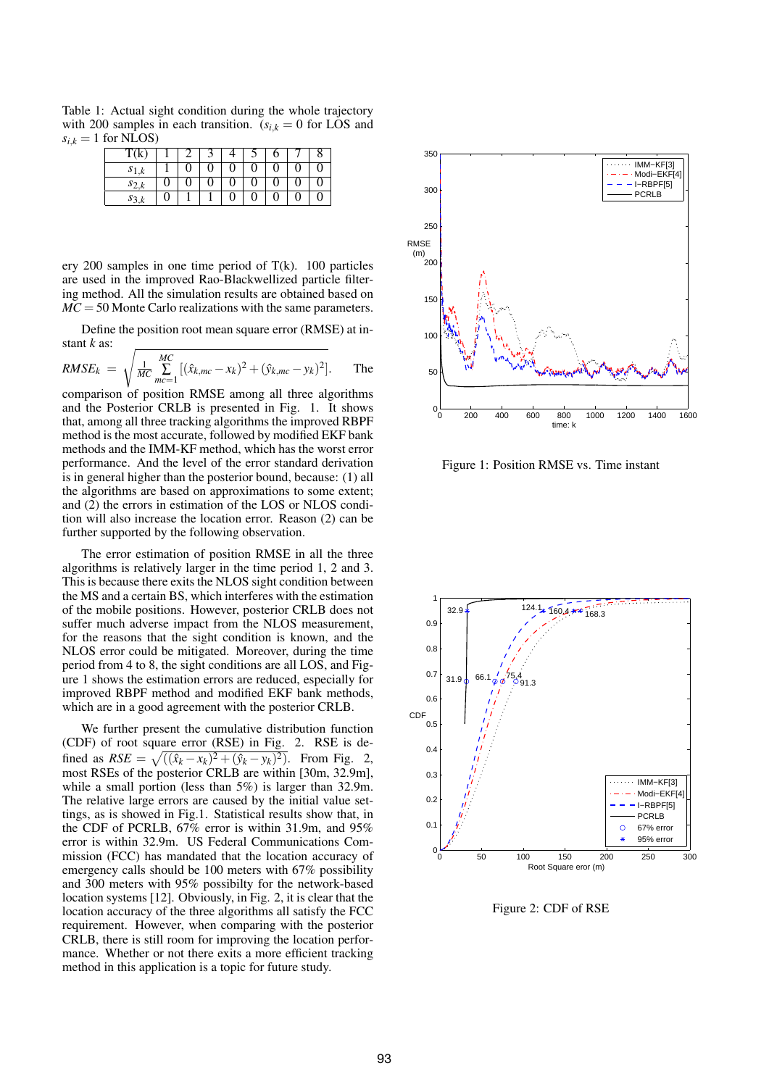Table 1: Actual sight condition during the whole trajectory with 200 samples in each transition.  $(s_{i,k} = 0 \text{ for LOS and})$  $s_{i,k} = 1$  for NLOS)

| T(K       |  |  |  |  |
|-----------|--|--|--|--|
| $s_{1,k}$ |  |  |  |  |
| $s_{2,k}$ |  |  |  |  |
| $s_{3}$   |  |  |  |  |

ery 200 samples in one time period of  $T(k)$ . 100 particles are used in the improved Rao-Blackwellized particle filtering method. All the simulation results are obtained based on *MC* = 50 Monte Carlo realizations with the same parameters.

Define the position root mean square error (RMSE) at instant *k* as: s

$$
RMSE_k = \sqrt{\frac{1}{MC} \sum_{m=c-1}^{MC} [(\hat{x}_{k,mc} - x_k)^2 + (\hat{y}_{k,mc} - y_k)^2]}.
$$
 The

comparison of position RMSE among all three algorithms and the Posterior CRLB is presented in Fig. 1. It shows that, among all three tracking algorithms the improved RBPF method is the most accurate, followed by modified EKF bank methods and the IMM-KF method, which has the worst error performance. And the level of the error standard derivation is in general higher than the posterior bound, because: (1) all the algorithms are based on approximations to some extent; and (2) the errors in estimation of the LOS or NLOS condition will also increase the location error. Reason (2) can be further supported by the following observation.

The error estimation of position RMSE in all the three algorithms is relatively larger in the time period 1, 2 and 3. This is because there exits the NLOS sight condition between the MS and a certain BS, which interferes with the estimation of the mobile positions. However, posterior CRLB does not suffer much adverse impact from the NLOS measurement, for the reasons that the sight condition is known, and the NLOS error could be mitigated. Moreover, during the time period from 4 to 8, the sight conditions are all LOS, and Figure 1 shows the estimation errors are reduced, especially for improved RBPF method and modified EKF bank methods, which are in a good agreement with the posterior CRLB.

We further present the cumulative distribution function (CDF) of root square error (RSE) in Fig. 2. RSE is de-p fined as  $RSE = \sqrt{((\hat{x}_k - x_k)^2 + (\hat{y}_k - y_k)^2)}$ . From Fig. 2, most RSEs of the posterior CRLB are within [30m, 32.9m], while a small portion (less than 5%) is larger than 32.9m. The relative large errors are caused by the initial value settings, as is showed in Fig.1. Statistical results show that, in the CDF of PCRLB, 67% error is within 31.9m, and 95% error is within 32.9m. US Federal Communications Commission (FCC) has mandated that the location accuracy of emergency calls should be 100 meters with 67% possibility and 300 meters with 95% possibilty for the network-based location systems [12]. Obviously, in Fig. 2, it is clear that the location accuracy of the three algorithms all satisfy the FCC requirement. However, when comparing with the posterior CRLB, there is still room for improving the location performance. Whether or not there exits a more efficient tracking method in this application is a topic for future study.



Figure 1: Position RMSE vs. Time instant



Figure 2: CDF of RSE